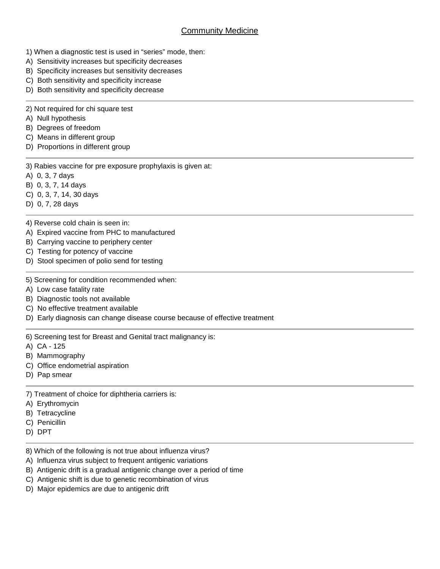## **Community Medicine**

- 1) When a diagnostic test is used in "series" mode, then:
- A) Sensitivity increases but specificity decreases
- B) Specificity increases but sensitivity decreases
- C) Both sensitivity and specificity increase
- D) Both sensitivity and specificity decrease
- 2) Not required for chi square test
- A) Null hypothesis
- B) Degrees of freedom
- C) Means in different group
- D) Proportions in different group
- 3) Rabies vaccine for pre exposure prophylaxis is given at:
- A) 0, 3, 7 days
- B) 0, 3, 7, 14 days
- C) 0, 3, 7, 14, 30 days
- D) 0, 7, 28 days

## 4) Reverse cold chain is seen in:

- A) Expired vaccine from PHC to manufactured
- B) Carrying vaccine to periphery center
- C) Testing for potency of vaccine
- D) Stool specimen of polio send for testing
- 5) Screening for condition recommended when:
- A) Low case fatality rate
- B) Diagnostic tools not available
- C) No effective treatment available
- D) Early diagnosis can change disease course because of effective treatment
- 6) Screening test for Breast and Genital tract malignancy is:
- A) CA 125
- B) Mammography
- C) Office endometrial aspiration
- D) Pap smear
- 7) Treatment of choice for diphtheria carriers is:
- A) Erythromycin
- B) Tetracycline
- C) Penicillin
- D) DPT
- 8) Which of the following is not true about influenza virus?
- A) Influenza virus subject to frequent antigenic variations
- B) Antigenic drift is a gradual antigenic change over a period of time
- C) Antigenic shift is due to genetic recombination of virus
- D) Major epidemics are due to antigenic drift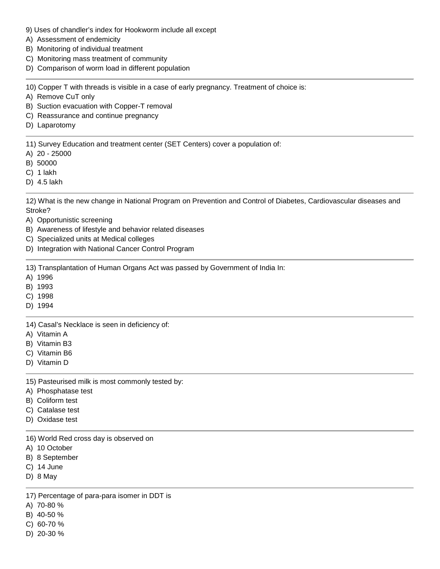- 9) Uses of chandler's index for Hookworm include all except
- A) Assessment of endemicity
- B) Monitoring of individual treatment
- C) Monitoring mass treatment of community
- D) Comparison of worm load in different population

10) Copper T with threads is visible in a case of early pregnancy. Treatment of choice is:

- A) Remove CuT only
- B) Suction evacuation with Copper-T removal
- C) Reassurance and continue pregnancy
- D) Laparotomy

11) Survey Education and treatment center (SET Centers) cover a population of:

- A) 20 25000
- B) 50000
- C) 1 lakh
- D) 4.5 lakh

12) What is the new change in National Program on Prevention and Control of Diabetes, Cardiovascular diseases and Stroke?

- A) Opportunistic screening
- B) Awareness of lifestyle and behavior related diseases
- C) Specialized units at Medical colleges
- D) Integration with National Cancer Control Program

13) Transplantation of Human Organs Act was passed by Government of India In:

- A) 1996
- B) 1993
- C) 1998
- D) 1994

14) Casal's Necklace is seen in deficiency of:

- A) Vitamin A
- B) Vitamin B3
- C) Vitamin B6
- D) Vitamin D

15) Pasteurised milk is most commonly tested by:

- A) Phosphatase test
- B) Coliform test
- C) Catalase test
- D) Oxidase test

16) World Red cross day is observed on

- A) 10 October
- B) 8 September
- C) 14 June
- D) 8 May

17) Percentage of para-para isomer in DDT is

- A) 70-80 %
- B) 40-50 %
- C) 60-70 %
- D) 20-30 %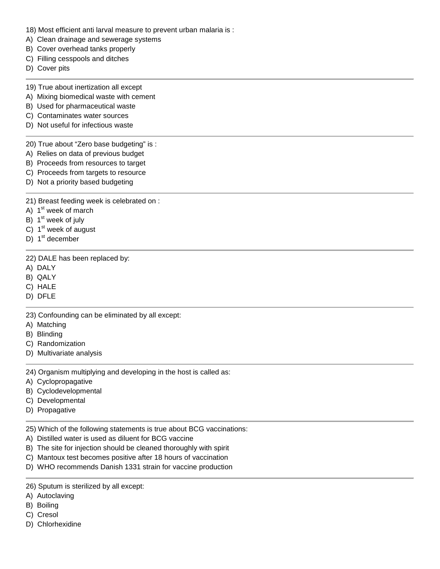- 18) Most efficient anti larval measure to prevent urban malaria is :
- A) Clean drainage and sewerage systems
- B) Cover overhead tanks properly
- C) Filling cesspools and ditches
- D) Cover pits
- 19) True about inertization all except
- A) Mixing biomedical waste with cement
- B) Used for pharmaceutical waste
- C) Contaminates water sources
- D) Not useful for infectious waste

20) True about "Zero base budgeting" is :

- A) Relies on data of previous budget
- B) Proceeds from resources to target
- C) Proceeds from targets to resource
- D) Not a priority based budgeting

21) Breast feeding week is celebrated on :

- A) 1<sup>st</sup> week of march
- B) 1<sup>st</sup> week of july
- C) 1<sup>st</sup> week of august
- D) 1<sup>st</sup> december

22) DALE has been replaced by:

- A) DALY
- B) QALY
- C) HALE
- D) DFLE

23) Confounding can be eliminated by all except:

- A) Matching
- B) Blinding
- C) Randomization
- D) Multivariate analysis

24) Organism multiplying and developing in the host is called as:

- A) Cyclopropagative
- B) Cyclodevelopmental
- C) Developmental
- D) Propagative

25) Which of the following statements is true about BCG vaccinations:

- A) Distilled water is used as diluent for BCG vaccine
- B) The site for injection should be cleaned thoroughly with spirit
- C) Mantoux test becomes positive after 18 hours of vaccination
- D) WHO recommends Danish 1331 strain for vaccine production
- 26) Sputum is sterilized by all except:
- A) Autoclaving
- B) Boiling
- C) Cresol
- D) Chlorhexidine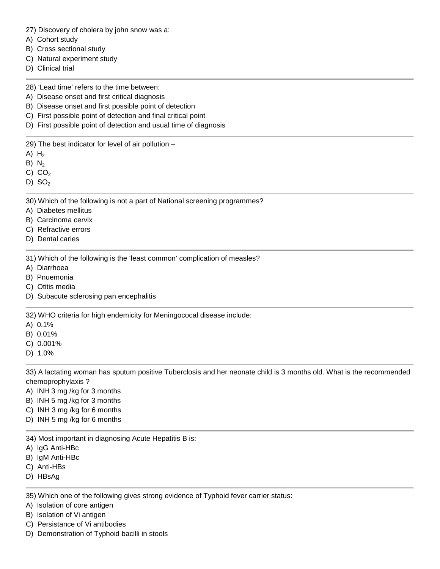27) Discovery of cholera by john snow was a:

- A) Cohort study
- B) Cross sectional study
- C) Natural experiment study
- D) Clinical trial

28) 'Lead time' refers to the time between:

- A) Disease onset and first critical diagnosis
- B) Disease onset and first possible point of detection
- C) First possible point of detection and final critical point
- D) First possible point of detection and usual time of diagnosis

29) The best indicator for level of air pollution –

- A)  $H<sub>2</sub>$
- $B) N<sub>2</sub>$
- C)  $CO<sub>2</sub>$
- D)  $SO<sub>2</sub>$

30) Which of the following is not a part of National screening programmes?

- A) Diabetes mellitus
- B) Carcinoma cervix
- C) Refractive errors
- D) Dental caries

31) Which of the following is the 'least common' complication of measles?

- A) Diarrhoea
- B) Pnuemonia
- C) Otitis media
- D) Subacute sclerosing pan encephalitis

32) WHO criteria for high endemicity for Meningococal disease include:

- A) 0.1%
- B) 0.01%
- C) 0.001%
- D) 1.0%

33) A lactating woman has sputum positive Tuberclosis and her neonate child is 3 months old. What is the recommended chemoprophylaxis ?

- A) INH 3 mg /kg for 3 months
- B) INH 5 mg /kg for 3 months
- C) INH 3 mg /kg for 6 months
- D) INH 5 mg /kg for 6 months
- 34) Most important in diagnosing Acute Hepatitis B is:
- A) IgG Anti-HBc
- B) IgM Anti-HBc
- C) Anti-HBs
- D) HBsAg

35) Which one of the following gives strong evidence of Typhoid fever carrier status:

A) Isolation of core antigen

B) Isolation of Vi antigen

- C) Persistance of Vi antibodies
- D) Demonstration of Typhoid bacilli in stools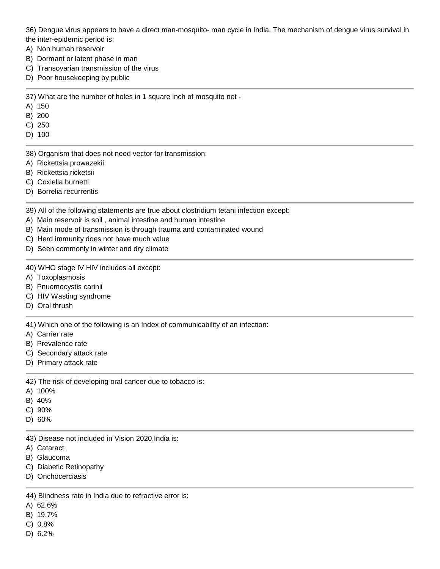36) Dengue virus appears to have a direct man-mosquito- man cycle in India. The mechanism of dengue virus survival in the inter-epidemic period is:

- A) Non human reservoir
- B) Dormant or latent phase in man
- C) Transovarian transmission of the virus
- D) Poor housekeeping by public

37) What are the number of holes in 1 square inch of mosquito net -

- A) 150
- B) 200
- C) 250

D) 100

38) Organism that does not need vector for transmission:

- A) Rickettsia prowazekii
- B) Rickettsia ricketsii
- C) Coxiella burnetti
- D) Borrelia recurrentis

39) All of the following statements are true about clostridium tetani infection except:

- A) Main reservoir is soil , animal intestine and human intestine
- B) Main mode of transmission is through trauma and contaminated wound
- C) Herd immunity does not have much value
- D) Seen commonly in winter and dry climate

40) WHO stage IV HIV includes all except:

- A) Toxoplasmosis
- B) Pnuemocystis carinii
- C) HIV Wasting syndrome
- D) Oral thrush

41) Which one of the following is an Index of communicability of an infection:

- A) Carrier rate
- B) Prevalence rate
- C) Secondary attack rate
- D) Primary attack rate

42) The risk of developing oral cancer due to tobacco is:

- A) 100%
- B) 40%
- C) 90%
- D) 60%

43) Disease not included in Vision 2020,India is:

- A) Cataract
- B) Glaucoma
- C) Diabetic Retinopathy
- D) Onchocerciasis

44) Blindness rate in India due to refractive error is:

- A) 62.6%
- B) 19.7%
- C) 0.8%
- D) 6.2%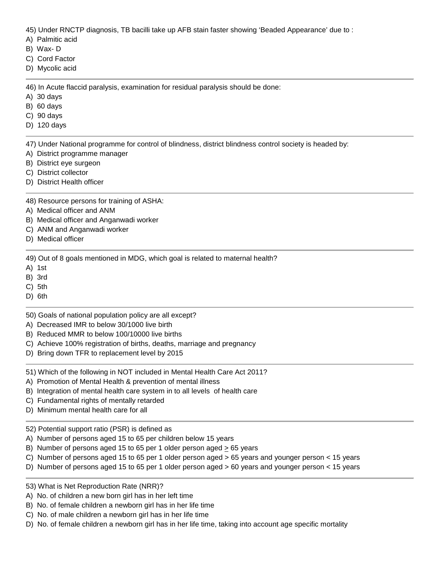45) Under RNCTP diagnosis, TB bacilli take up AFB stain faster showing 'Beaded Appearance' due to :

- A) Palmitic acid
- B) Wax- D
- C) Cord Factor
- D) Mycolic acid

46) In Acute flaccid paralysis, examination for residual paralysis should be done:

- A) 30 days
- B) 60 days
- C) 90 days
- D) 120 days

47) Under National programme for control of blindness, district blindness control society is headed by:

- A) District programme manager
- B) District eye surgeon
- C) District collector
- D) District Health officer

48) Resource persons for training of ASHA:

- A) Medical officer and ANM
- B) Medical officer and Anganwadi worker
- C) ANM and Anganwadi worker
- D) Medical officer

49) Out of 8 goals mentioned in MDG, which goal is related to maternal health?

- A) 1st
- B) 3rd
- C) 5th
- D) 6th
- 50) Goals of national population policy are all except?
- A) Decreased IMR to below 30/1000 live birth
- B) Reduced MMR to below 100/10000 live births
- C) Achieve 100% registration of births, deaths, marriage and pregnancy
- D) Bring down TFR to replacement level by 2015
- 51) Which of the following in NOT included in Mental Health Care Act 2011?
- A) Promotion of Mental Health & prevention of mental illness
- B) Integration of mental health care system in to all levels of health care
- C) Fundamental rights of mentally retarded
- D) Minimum mental health care for all

52) Potential support ratio (PSR) is defined as

- A) Number of persons aged 15 to 65 per children below 15 years
- B) Number of persons aged 15 to 65 per 1 older person aged  $\geq$  65 years
- C) Number of persons aged 15 to 65 per 1 older person aged > 65 years and younger person < 15 years
- D) Number of persons aged 15 to 65 per 1 older person aged > 60 years and younger person < 15 years
- 53) What is Net Reproduction Rate (NRR)?
- A) No. of children a new born girl has in her left time
- B) No. of female children a newborn girl has in her life time
- C) No. of male children a newborn girl has in her life time
- D) No. of female children a newborn girl has in her life time, taking into account age specific mortality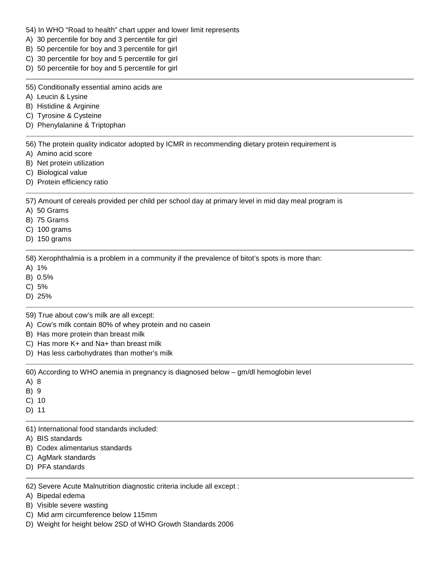## 54) In WHO "Road to health" chart upper and lower limit represents

- A) 30 percentile for boy and 3 percentile for girl
- B) 50 percentile for boy and 3 percentile for girl
- C) 30 percentile for boy and 5 percentile for girl
- D) 50 percentile for boy and 5 percentile for girl

55) Conditionally essential amino acids are

A) Leucin & Lysine

B) Histidine & Arginine

- C) Tyrosine & Cysteine
- D) Phenylalanine & Triptophan

56) The protein quality indicator adopted by ICMR in recommending dietary protein requirement is

- A) Amino acid score
- B) Net protein utilization
- C) Biological value
- D) Protein efficiency ratio

57) Amount of cereals provided per child per school day at primary level in mid day meal program is

- A) 50 Grams
- B) 75 Grams
- C) 100 grams
- D) 150 grams

58) Xerophthalmia is a problem in a community if the prevalence of bitot's spots is more than:

- A) 1%
- B) 0.5%
- C) 5%
- D) 25%

59) True about cow's milk are all except:

- A) Cow's milk contain 80% of whey protein and no casein
- B) Has more protein than breast milk
- C) Has more K+ and Na+ than breast milk
- D) Has less carbohydrates than mother's milk

60) According to WHO anemia in pregnancy is diagnosed below – gm/dl hemoglobin level

- A) 8
- B) 9
- C) 10
- D) 11

61) International food standards included:

- A) BIS standards
- B) Codex alimentarius standards
- C) AgMark standards
- D) PFA standards

62) Severe Acute Malnutrition diagnostic criteria include all except :

- A) Bipedal edema
- B) Visible severe wasting
- C) Mid arm circumference below 115mm
- D) Weight for height below 2SD of WHO Growth Standards 2006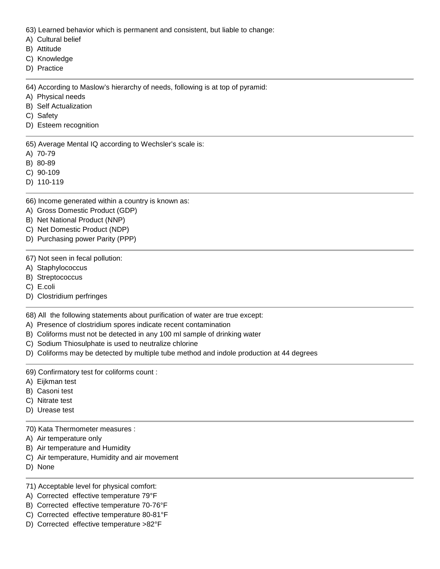63) Learned behavior which is permanent and consistent, but liable to change:

- A) Cultural belief
- B) Attitude
- C) Knowledge
- D) Practice

64) According to Maslow's hierarchy of needs, following is at top of pyramid:

- A) Physical needs
- B) Self Actualization
- C) Safety
- D) Esteem recognition

65) Average Mental IQ according to Wechsler's scale is:

- A) 70-79
- B) 80-89
- C) 90-109
- D) 110-119

66) Income generated within a country is known as:

- A) Gross Domestic Product (GDP)
- B) Net National Product (NNP)
- C) Net Domestic Product (NDP)
- D) Purchasing power Parity (PPP)
- 67) Not seen in fecal pollution:
- A) Staphylococcus
- B) Streptococcus
- C) E.coli
- D) Clostridium perfringes

68) All the following statements about purification of water are true except:

- A) Presence of clostridium spores indicate recent contamination
- B) Coliforms must not be detected in any 100 ml sample of drinking water
- C) Sodium Thiosulphate is used to neutralize chlorine
- D) Coliforms may be detected by multiple tube method and indole production at 44 degrees
- 69) Confirmatory test for coliforms count :
- A) Eijkman test
- B) Casoni test
- C) Nitrate test
- D) Urease test
- 70) Kata Thermometer measures :
- A) Air temperature only
- B) Air temperature and Humidity
- C) Air temperature, Humidity and air movement
- D) None
- 71) Acceptable level for physical comfort:
- A) Corrected effective temperature 79°F
- B) Corrected effective temperature 70-76°F
- C) Corrected effective temperature 80-81°F
- D) Corrected effective temperature >82°F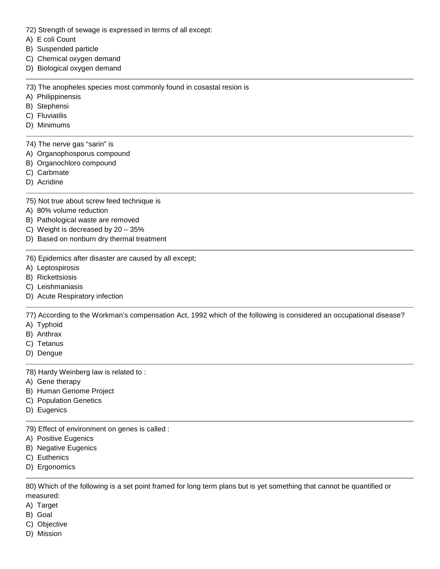- 72) Strength of sewage is expressed in terms of all except:
- A) E coli Count
- B) Suspended particle
- C) Chemical oxygen demand
- D) Biological oxygen demand

73) The anopheles species most commonly found in cosastal resion is

- A) Philippinensis
- B) Stephensi
- C) Fluviatilis
- D) Minimums
- 74) The nerve gas "sarin" is
- A) Organophosporus compound
- B) Organochloro compound
- C) Carbmate
- D) Acridine
- 75) Not true about screw feed technique is
- A) 80% volume reduction
- B) Pathological waste are removed
- C) Weight is decreased by 20 35%
- D) Based on nonburn dry thermal treatment
- 76) Epidemics after disaster are caused by all except;
- A) Leptospirosis
- B) Rickettsiosis
- C) Leishmaniasis
- D) Acute Respiratory infection

77) According to the Workman's compensation Act, 1992 which of the following is considered an occupational disease?

- A) Typhoid
- B) Anthrax
- C) Tetanus
- D) Dengue
- 78) Hardy Weinberg law is related to :
- A) Gene therapy
- B) Human Genome Project
- C) Population Genetics
- D) Eugenics

79) Effect of environment on genes is called :

- A) Positive Eugenics
- B) Negative Eugenics
- C) Euthenics
- D) Ergonomics

80) Which of the following is a set point framed for long term plans but is yet something that cannot be quantified or measured:

- A) Target
- B) Goal
- C) Objective
- D) Mission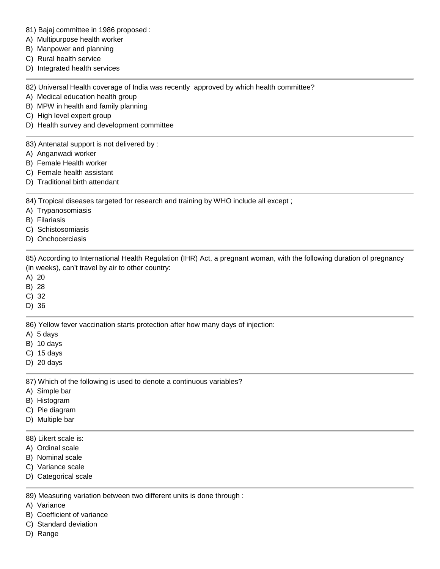- 81) Bajaj committee in 1986 proposed :
- A) Multipurpose health worker
- B) Manpower and planning
- C) Rural health service
- D) Integrated health services

82) Universal Health coverage of India was recently approved by which health committee?

- A) Medical education health group
- B) MPW in health and family planning
- C) High level expert group
- D) Health survey and development committee

83) Antenatal support is not delivered by :

- A) Anganwadi worker
- B) Female Health worker
- C) Female health assistant
- D) Traditional birth attendant

84) Tropical diseases targeted for research and training by WHO include all except;

- A) Trypanosomiasis
- B) Filariasis
- C) Schistosomiasis
- D) Onchocerciasis

85) According to International Health Regulation (IHR) Act, a pregnant woman, with the following duration of pregnancy (in weeks), can't travel by air to other country:

- A) 20
- B) 28
- C) 32
- D) 36

86) Yellow fever vaccination starts protection after how many days of injection:

- A) 5 days
- B) 10 days
- C) 15 days
- D) 20 days

87) Which of the following is used to denote a continuous variables?

- A) Simple bar
- B) Histogram
- C) Pie diagram
- D) Multiple bar
- 88) Likert scale is:
- A) Ordinal scale
- B) Nominal scale
- C) Variance scale
- D) Categorical scale

89) Measuring variation between two different units is done through :

- A) Variance
- B) Coefficient of variance
- C) Standard deviation
- D) Range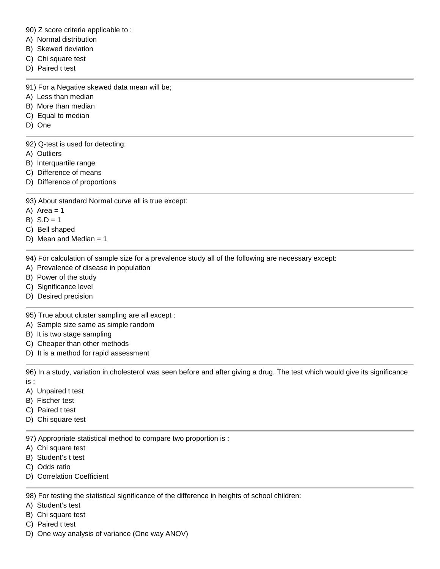90) Z score criteria applicable to :

- A) Normal distribution
- B) Skewed deviation
- C) Chi square test
- D) Paired t test

91) For a Negative skewed data mean will be;

- A) Less than median
- B) More than median
- C) Equal to median
- D) One

92) Q-test is used for detecting:

- A) Outliers
- B) Interquartile range
- C) Difference of means
- D) Difference of proportions
- 93) About standard Normal curve all is true except:
- A) Area  $= 1$
- B)  $S.D = 1$
- C) Bell shaped
- D) Mean and Median  $= 1$

94) For calculation of sample size for a prevalence study all of the following are necessary except:

- A) Prevalence of disease in population
- B) Power of the study
- C) Significance level
- D) Desired precision

95) True about cluster sampling are all except :

- A) Sample size same as simple random
- B) It is two stage sampling
- C) Cheaper than other methods
- D) It is a method for rapid assessment

96) In a study, variation in cholesterol was seen before and after giving a drug. The test which would give its significance is :

- A) Unpaired t test
- B) Fischer test
- C) Paired t test
- D) Chi square test

97) Appropriate statistical method to compare two proportion is :

- A) Chi square test
- B) Student's t test
- C) Odds ratio
- D) Correlation Coefficient

98) For testing the statistical significance of the difference in heights of school children:

- A) Student's test
- B) Chi square test
- C) Paired t test
- D) One way analysis of variance (One way ANOV)